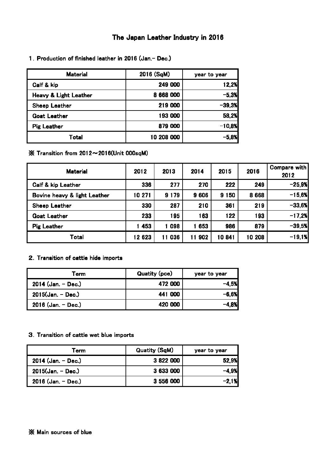#### The Japan Leather Industry in 2016

| <b>Material</b>                  | 2016 (SqM)   | year to year |  |
|----------------------------------|--------------|--------------|--|
| Calf & kip                       | 249 000      | 12,2%        |  |
| <b>Heavy &amp; Light Leather</b> | 668 000<br>8 | $-5,3%$      |  |
| Sheep Leather                    | 219 000      | $-39,3%$     |  |
| <b>Goat Leather</b>              | 193 000      | 58,2%        |  |
| <b>Pig Leather</b>               | 879 000      | $-10,8%$     |  |
| Total                            | 10 208 000   | $-5,8%$      |  |

1.Production of finished leather in 2016 (Jan.- Dec.)

※ Transition from 2012~2016(Unit 000sqM)

| <b>Material</b>              | 2012   | 2013    | 2014     | 2015    | 2016      | Compare with<br>2012 |
|------------------------------|--------|---------|----------|---------|-----------|----------------------|
| Calf & kip Leather           | 336    | 277     | 270      | 222     | 249       | $-25,9%$             |
| Bovine heavy & light Leather | 10 271 | 9 1 7 9 | 9 6 0 6  | 9 1 5 0 | 8 6 6 8   | $-15,6%$             |
| Sheep Leather                | 330    | 287     | 210      | 361     | 219       | $-33,6%$             |
| <b>Goat Leather</b>          | 233    | 195     | 163      | 122     | <b>93</b> | $-17,2%$             |
| <b>Pig Leather</b>           | 453    | 1098    | 653      | 986     | 879       | $-39,5%$             |
| Total                        | 12 623 | 11 036  | 902<br>1 | 10841   | 10 208    | $-19,1%$             |

### 2.Transition of cattle hide imports

| Term                 | Quatity (pce) | year to year |
|----------------------|---------------|--------------|
| $2014$ (Jan. - Dec.) | 472 000       | $-4.5%$      |
| $2015$ (Jan. - Dec.) | 441 000       | -6,6%        |
| $2016$ (Jan. - Dec.) | 420 000       | -4.8%        |

#### 3.Transition of cattle wet blue imports

| Term                 | <b>Quatity (SqM)</b> | year to year |
|----------------------|----------------------|--------------|
| $2014$ (Jan. - Dec.) | 3 822 000            | 52,9%        |
| $2015$ (Jan. - Dec.) | 3 633 000            | $-4.9%$      |
| $2016$ (Jan. - Dec.) | 3 556 000            | $-2,1%$      |

#### ※ Main sources of blue